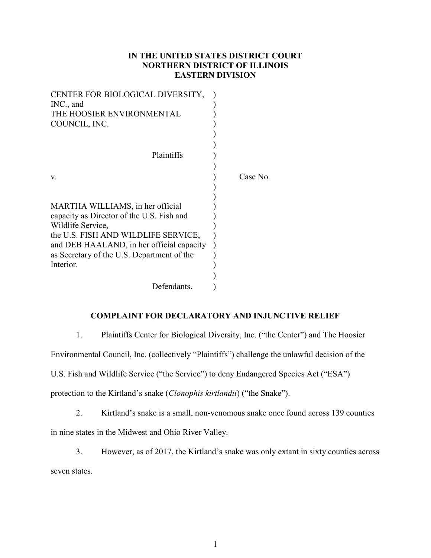# IN THE UNITED STATES DISTRICT COURT NORTHERN DISTRICT OF ILLINOIS EASTERN DIVISION

| CENTER FOR BIOLOGICAL DIVERSITY,<br>INC., and |          |
|-----------------------------------------------|----------|
| THE HOOSIER ENVIRONMENTAL                     |          |
| COUNCIL, INC.                                 |          |
|                                               |          |
|                                               |          |
| Plaintiffs                                    |          |
|                                               |          |
| V.                                            | Case No. |
|                                               |          |
|                                               |          |
| MARTHA WILLIAMS, in her official              |          |
| capacity as Director of the U.S. Fish and     |          |
| Wildlife Service,                             |          |
| the U.S. FISH AND WILDLIFE SERVICE,           |          |
| and DEB HAALAND, in her official capacity     |          |
| as Secretary of the U.S. Department of the    |          |
| Interior.                                     |          |
|                                               |          |
| Defendants.                                   |          |

# COMPLAINT FOR DECLARATORY AND INJUNCTIVE RELIEF

1. Plaintiffs Center for Biological Diversity, Inc. ("the Center") and The Hoosier

Environmental Council, Inc. (collectively "Plaintiffs") challenge the unlawful decision of the

U.S. Fish and Wildlife Service ("the Service") to deny Endangered Species Act ("ESA")

protection to the Kirtland's snake (Clonophis kirtlandii) ("the Snake").

2. Kirtland's snake is a small, non-venomous snake once found across 139 counties in nine states in the Midwest and Ohio River Valley.

3. However, as of 2017, the Kirtland's snake was only extant in sixty counties across seven states.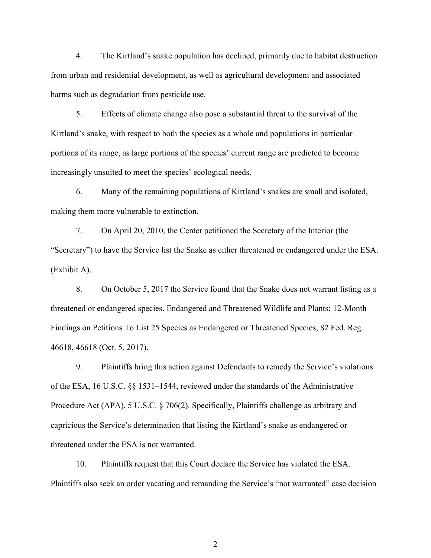4. The Kirtland's snake population has declined, primarily due to habitat destruction from urban and residential development, as well as agricultural development and associated harms such as degradation from pesticide use.

5. Effects of climate change also pose a substantial threat to the survival of the Kirtland's snake, with respect to both the species as a whole and populations in particular portions of its range, as large portions of the species' current range are predicted to become increasingly unsuited to meet the species' ecological needs.

6. Many of the remaining populations of Kirtland's snakes are small and isolated, making them more vulnerable to extinction.

7. On April 20, 2010, the Center petitioned the Secretary of the Interior (the "Secretary") to have the Service list the Snake as either threatened or endangered under the ESA. (Exhibit A).

8. On October 5, 2017 the Service found that the Snake does not warrant listing as a threatened or endangered species. Endangered and Threatened Wildlife and Plants; 12-Month Findings on Petitions To List 25 Species as Endangered or Threatened Species, 82 Fed. Reg. 46618, 46618 (Oct. 5, 2017).

9. Plaintiffs bring this action against Defendants to remedy the Service's violations of the ESA, 16 U.S.C. §§ 1531–1544, reviewed under the standards of the Administrative Procedure Act (APA), 5 U.S.C. § 706(2). Specifically, Plaintiffs challenge as arbitrary and capricious the Service's determination that listing the Kirtland's snake as endangered or threatened under the ESA is not warranted.

10. Plaintiffs request that this Court declare the Service has violated the ESA. Plaintiffs also seek an order vacating and remanding the Service's "not warranted" case decision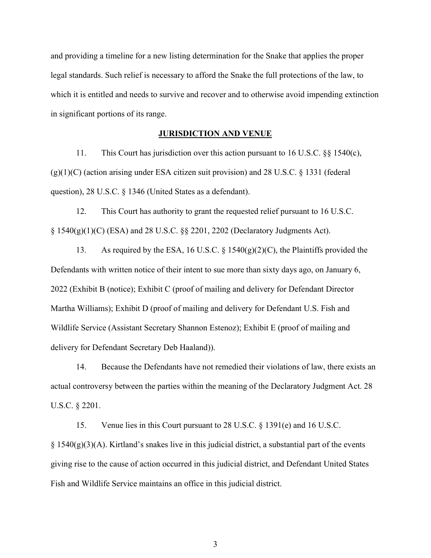and providing a timeline for a new listing determination for the Snake that applies the proper legal standards. Such relief is necessary to afford the Snake the full protections of the law, to which it is entitled and needs to survive and recover and to otherwise avoid impending extinction in significant portions of its range.

# JURISDICTION AND VENUE

11. This Court has jurisdiction over this action pursuant to 16 U.S.C. §§ 1540(c),  $(g)(1)(C)$  (action arising under ESA citizen suit provision) and 28 U.S.C. § 1331 (federal question), 28 U.S.C. § 1346 (United States as a defendant).

12. This Court has authority to grant the requested relief pursuant to 16 U.S.C.  $\S$  1540(g)(1)(C) (ESA) and 28 U.S.C.  $\S$  $\S$  2201, 2202 (Declaratory Judgments Act).

13. As required by the ESA, 16 U.S.C. § 1540(g)(2)(C), the Plaintiffs provided the Defendants with written notice of their intent to sue more than sixty days ago, on January 6, 2022 (Exhibit B (notice); Exhibit C (proof of mailing and delivery for Defendant Director Martha Williams); Exhibit D (proof of mailing and delivery for Defendant U.S. Fish and Wildlife Service (Assistant Secretary Shannon Estenoz); Exhibit E (proof of mailing and delivery for Defendant Secretary Deb Haaland)).

14. Because the Defendants have not remedied their violations of law, there exists an actual controversy between the parties within the meaning of the Declaratory Judgment Act. 28 U.S.C. § 2201.

15. Venue lies in this Court pursuant to 28 U.S.C. § 1391(e) and 16 U.S.C.  $\S 1540(g)(3)(A)$ . Kirtland's snakes live in this judicial district, a substantial part of the events giving rise to the cause of action occurred in this judicial district, and Defendant United States Fish and Wildlife Service maintains an office in this judicial district.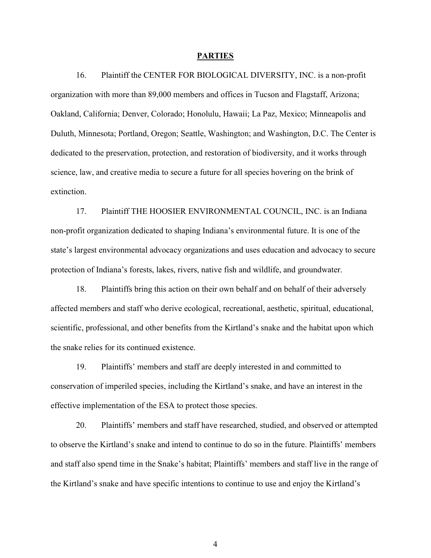#### PARTIES

16. Plaintiff the CENTER FOR BIOLOGICAL DIVERSITY, INC. is a non-profit organization with more than 89,000 members and offices in Tucson and Flagstaff, Arizona; Oakland, California; Denver, Colorado; Honolulu, Hawaii; La Paz, Mexico; Minneapolis and Duluth, Minnesota; Portland, Oregon; Seattle, Washington; and Washington, D.C. The Center is dedicated to the preservation, protection, and restoration of biodiversity, and it works through science, law, and creative media to secure a future for all species hovering on the brink of extinction.

17. Plaintiff THE HOOSIER ENVIRONMENTAL COUNCIL, INC. is an Indiana non-profit organization dedicated to shaping Indiana's environmental future. It is one of the state's largest environmental advocacy organizations and uses education and advocacy to secure protection of Indiana's forests, lakes, rivers, native fish and wildlife, and groundwater.

18. Plaintiffs bring this action on their own behalf and on behalf of their adversely affected members and staff who derive ecological, recreational, aesthetic, spiritual, educational, scientific, professional, and other benefits from the Kirtland's snake and the habitat upon which the snake relies for its continued existence.

19. Plaintiffs' members and staff are deeply interested in and committed to conservation of imperiled species, including the Kirtland's snake, and have an interest in the effective implementation of the ESA to protect those species.

20. Plaintiffs' members and staff have researched, studied, and observed or attempted to observe the Kirtland's snake and intend to continue to do so in the future. Plaintiffs' members and staff also spend time in the Snake's habitat; Plaintiffs' members and staff live in the range of the Kirtland's snake and have specific intentions to continue to use and enjoy the Kirtland's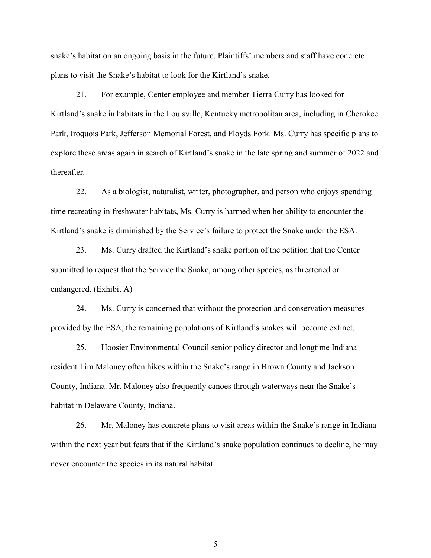snake's habitat on an ongoing basis in the future. Plaintiffs' members and staff have concrete plans to visit the Snake's habitat to look for the Kirtland's snake.

21. For example, Center employee and member Tierra Curry has looked for Kirtland's snake in habitats in the Louisville, Kentucky metropolitan area, including in Cherokee Park, Iroquois Park, Jefferson Memorial Forest, and Floyds Fork. Ms. Curry has specific plans to explore these areas again in search of Kirtland's snake in the late spring and summer of 2022 and thereafter.

22. As a biologist, naturalist, writer, photographer, and person who enjoys spending time recreating in freshwater habitats, Ms. Curry is harmed when her ability to encounter the Kirtland's snake is diminished by the Service's failure to protect the Snake under the ESA.

23. Ms. Curry drafted the Kirtland's snake portion of the petition that the Center submitted to request that the Service the Snake, among other species, as threatened or endangered. (Exhibit A)

24. Ms. Curry is concerned that without the protection and conservation measures provided by the ESA, the remaining populations of Kirtland's snakes will become extinct.

25. Hoosier Environmental Council senior policy director and longtime Indiana resident Tim Maloney often hikes within the Snake's range in Brown County and Jackson County, Indiana. Mr. Maloney also frequently canoes through waterways near the Snake's habitat in Delaware County, Indiana.

26. Mr. Maloney has concrete plans to visit areas within the Snake's range in Indiana within the next year but fears that if the Kirtland's snake population continues to decline, he may never encounter the species in its natural habitat.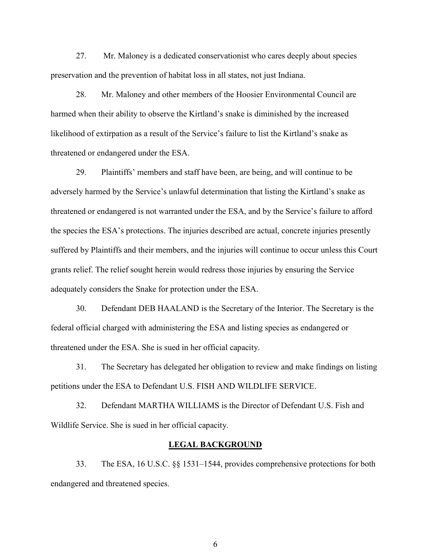27. Mr. Maloney is a dedicated conservationist who cares deeply about species preservation and the prevention of habitat loss in all states, not just Indiana.

28. Mr. Maloney and other members of the Hoosier Environmental Council are harmed when their ability to observe the Kirtland's snake is diminished by the increased likelihood of extirpation as a result of the Service's failure to list the Kirtland's snake as threatened or endangered under the ESA.

29. Plaintiffs' members and staff have been, are being, and will continue to be adversely harmed by the Service's unlawful determination that listing the Kirtland's snake as threatened or endangered is not warranted under the ESA, and by the Service's failure to afford the species the ESA's protections. The injuries described are actual, concrete injuries presently suffered by Plaintiffs and their members, and the injuries will continue to occur unless this Court grants relief. The relief sought herein would redress those injuries by ensuring the Service adequately considers the Snake for protection under the ESA.

30. Defendant DEB HAALAND is the Secretary of the Interior. The Secretary is the federal official charged with administering the ESA and listing species as endangered or threatened under the ESA. She is sued in her official capacity.

31. The Secretary has delegated her obligation to review and make findings on listing petitions under the ESA to Defendant U.S. FISH AND WILDLIFE SERVICE.

32. Defendant MARTHA WILLIAMS is the Director of Defendant U.S. Fish and Wildlife Service. She is sued in her official capacity.

# LEGAL BACKGROUND

33. The ESA, 16 U.S.C. §§ 1531–1544, provides comprehensive protections for both endangered and threatened species.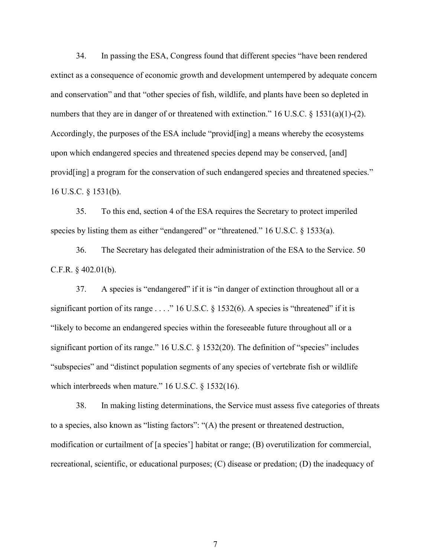34. In passing the ESA, Congress found that different species "have been rendered extinct as a consequence of economic growth and development untempered by adequate concern and conservation" and that "other species of fish, wildlife, and plants have been so depleted in numbers that they are in danger of or threatened with extinction." 16 U.S.C.  $\S$  1531(a)(1)-(2). Accordingly, the purposes of the ESA include "provid[ing] a means whereby the ecosystems upon which endangered species and threatened species depend may be conserved, [and] provid<sup>[ing]</sup> a program for the conservation of such endangered species and threatened species." 16 U.S.C. § 1531(b).

35. To this end, section 4 of the ESA requires the Secretary to protect imperiled species by listing them as either "endangered" or "threatened." 16 U.S.C. § 1533(a).

36. The Secretary has delegated their administration of the ESA to the Service. 50 C.F.R. § 402.01(b).

37. A species is "endangered" if it is "in danger of extinction throughout all or a significant portion of its range  $\dots$ ." 16 U.S.C. § 1532(6). A species is "threatened" if it is "likely to become an endangered species within the foreseeable future throughout all or a significant portion of its range." 16 U.S.C. § 1532(20). The definition of "species" includes "subspecies" and "distinct population segments of any species of vertebrate fish or wildlife which interbreeds when mature." 16 U.S.C. § 1532(16).

38. In making listing determinations, the Service must assess five categories of threats to a species, also known as "listing factors": "(A) the present or threatened destruction, modification or curtailment of [a species'] habitat or range; (B) overutilization for commercial, recreational, scientific, or educational purposes; (C) disease or predation; (D) the inadequacy of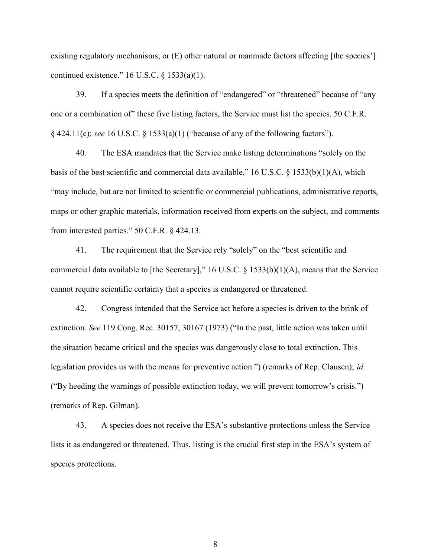existing regulatory mechanisms; or  $(E)$  other natural or manmade factors affecting [the species'] continued existence."  $16$  U.S.C. §  $1533(a)(1)$ .

39. If a species meets the definition of "endangered" or "threatened" because of "any one or a combination of" these five listing factors, the Service must list the species. 50 C.F.R. § 424.11(c); see 16 U.S.C. § 1533(a)(1) ("because of any of the following factors").

40. The ESA mandates that the Service make listing determinations "solely on the basis of the best scientific and commercial data available," 16 U.S.C. § 1533(b)(1)(A), which "may include, but are not limited to scientific or commercial publications, administrative reports, maps or other graphic materials, information received from experts on the subject, and comments from interested parties." 50 C.F.R. § 424.13.

41. The requirement that the Service rely "solely" on the "best scientific and commercial data available to [the Secretary]," 16 U.S.C. § 1533(b)(1)(A), means that the Service cannot require scientific certainty that a species is endangered or threatened.

42. Congress intended that the Service act before a species is driven to the brink of extinction. See 119 Cong. Rec. 30157, 30167 (1973) ("In the past, little action was taken until the situation became critical and the species was dangerously close to total extinction. This legislation provides us with the means for preventive action.") (remarks of Rep. Clausen); id. ("By heeding the warnings of possible extinction today, we will prevent tomorrow's crisis.") (remarks of Rep. Gilman).

43. A species does not receive the ESA's substantive protections unless the Service lists it as endangered or threatened. Thus, listing is the crucial first step in the ESA's system of species protections.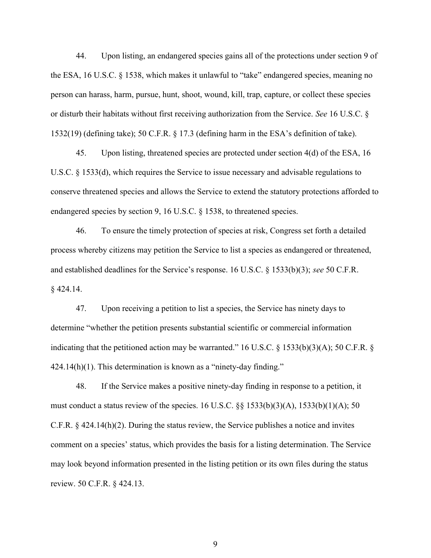44. Upon listing, an endangered species gains all of the protections under section 9 of the ESA, 16 U.S.C. § 1538, which makes it unlawful to "take" endangered species, meaning no person can harass, harm, pursue, hunt, shoot, wound, kill, trap, capture, or collect these species or disturb their habitats without first receiving authorization from the Service. See 16 U.S.C. § 1532(19) (defining take); 50 C.F.R. § 17.3 (defining harm in the ESA's definition of take).

45. Upon listing, threatened species are protected under section 4(d) of the ESA, 16 U.S.C. § 1533(d), which requires the Service to issue necessary and advisable regulations to conserve threatened species and allows the Service to extend the statutory protections afforded to endangered species by section 9, 16 U.S.C. § 1538, to threatened species.

46. To ensure the timely protection of species at risk, Congress set forth a detailed process whereby citizens may petition the Service to list a species as endangered or threatened, and established deadlines for the Service's response. 16 U.S.C. § 1533(b)(3); see 50 C.F.R. § 424.14.

47. Upon receiving a petition to list a species, the Service has ninety days to determine "whether the petition presents substantial scientific or commercial information indicating that the petitioned action may be warranted." 16 U.S.C. § 1533(b)(3)(A); 50 C.F.R. §  $424.14(h)(1)$ . This determination is known as a "ninety-day finding."

48. If the Service makes a positive ninety-day finding in response to a petition, it must conduct a status review of the species. 16 U.S.C.  $\S § 1533(b)(3)(A)$ , 1533(b)(1)(A); 50 C.F.R. § 424.14(h)(2). During the status review, the Service publishes a notice and invites comment on a species' status, which provides the basis for a listing determination. The Service may look beyond information presented in the listing petition or its own files during the status review. 50 C.F.R. § 424.13.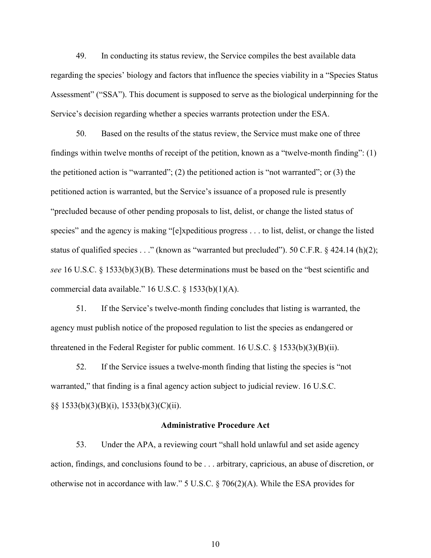49. In conducting its status review, the Service compiles the best available data regarding the species' biology and factors that influence the species viability in a "Species Status Assessment" ("SSA"). This document is supposed to serve as the biological underpinning for the Service's decision regarding whether a species warrants protection under the ESA.

50. Based on the results of the status review, the Service must make one of three findings within twelve months of receipt of the petition, known as a "twelve-month finding": (1) the petitioned action is "warranted"; (2) the petitioned action is "not warranted"; or (3) the petitioned action is warranted, but the Service's issuance of a proposed rule is presently "precluded because of other pending proposals to list, delist, or change the listed status of species" and the agency is making "[e]xpeditious progress . . . to list, delist, or change the listed status of qualified species . . ." (known as "warranted but precluded"). 50 C.F.R. § 424.14 (h)(2); see 16 U.S.C. § 1533(b)(3)(B). These determinations must be based on the "best scientific and commercial data available." 16 U.S.C. § 1533(b)(1)(A).

51. If the Service's twelve-month finding concludes that listing is warranted, the agency must publish notice of the proposed regulation to list the species as endangered or threatened in the Federal Register for public comment. 16 U.S.C. § 1533(b)(3)(B)(ii).

52. If the Service issues a twelve-month finding that listing the species is "not warranted," that finding is a final agency action subject to judicial review. 16 U.S.C. §§ 1533(b)(3)(B)(i), 1533(b)(3)(C)(ii).

#### Administrative Procedure Act

53. Under the APA, a reviewing court "shall hold unlawful and set aside agency action, findings, and conclusions found to be . . . arbitrary, capricious, an abuse of discretion, or otherwise not in accordance with law." 5 U.S.C. § 706(2)(A). While the ESA provides for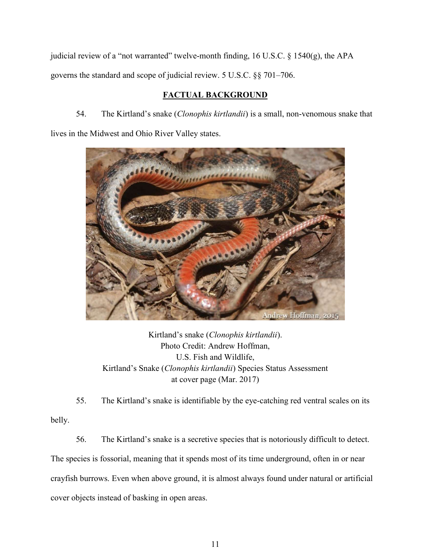judicial review of a "not warranted" twelve-month finding, 16 U.S.C. § 1540(g), the APA governs the standard and scope of judicial review. 5 U.S.C. §§ 701–706.

# FACTUAL BACKGROUND

54. The Kirtland's snake (Clonophis kirtlandii) is a small, non-venomous snake that lives in the Midwest and Ohio River Valley states.



Kirtland's snake (Clonophis kirtlandii). Photo Credit: Andrew Hoffman, U.S. Fish and Wildlife, Kirtland's Snake (Clonophis kirtlandii) Species Status Assessment at cover page (Mar. 2017)

55. The Kirtland's snake is identifiable by the eye-catching red ventral scales on its belly.

56. The Kirtland's snake is a secretive species that is notoriously difficult to detect. The species is fossorial, meaning that it spends most of its time underground, often in or near crayfish burrows. Even when above ground, it is almost always found under natural or artificial cover objects instead of basking in open areas.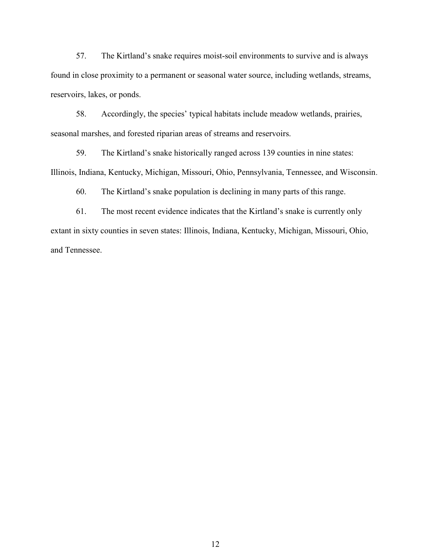57. The Kirtland's snake requires moist-soil environments to survive and is always found in close proximity to a permanent or seasonal water source, including wetlands, streams, reservoirs, lakes, or ponds.

58. Accordingly, the species' typical habitats include meadow wetlands, prairies, seasonal marshes, and forested riparian areas of streams and reservoirs.

59. The Kirtland's snake historically ranged across 139 counties in nine states: Illinois, Indiana, Kentucky, Michigan, Missouri, Ohio, Pennsylvania, Tennessee, and Wisconsin.

60. The Kirtland's snake population is declining in many parts of this range.

61. The most recent evidence indicates that the Kirtland's snake is currently only extant in sixty counties in seven states: Illinois, Indiana, Kentucky, Michigan, Missouri, Ohio, and Tennessee.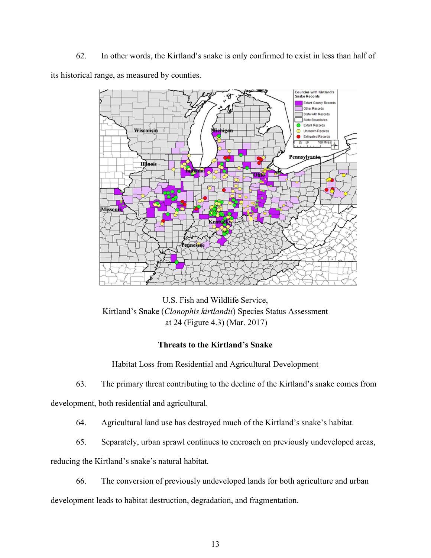62. In other words, the Kirtland's snake is only confirmed to exist in less than half of its historical range, as measured by counties.



U.S. Fish and Wildlife Service, Kirtland's Snake (Clonophis kirtlandii) Species Status Assessment at 24 (Figure 4.3) (Mar. 2017)

# Threats to the Kirtland's Snake

Habitat Loss from Residential and Agricultural Development

63. The primary threat contributing to the decline of the Kirtland's snake comes from development, both residential and agricultural.

64. Agricultural land use has destroyed much of the Kirtland's snake's habitat.

65. Separately, urban sprawl continues to encroach on previously undeveloped areas,

reducing the Kirtland's snake's natural habitat.

66. The conversion of previously undeveloped lands for both agriculture and urban

development leads to habitat destruction, degradation, and fragmentation.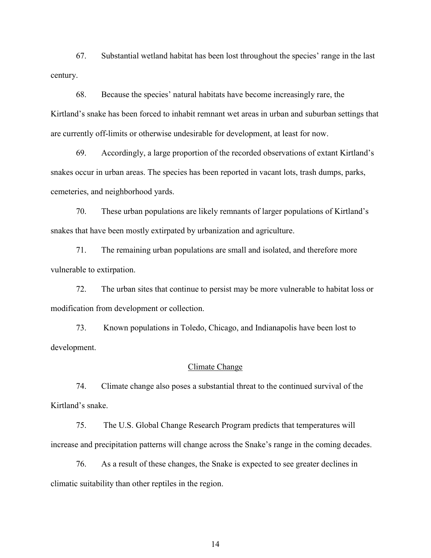67. Substantial wetland habitat has been lost throughout the species' range in the last century.

68. Because the species' natural habitats have become increasingly rare, the Kirtland's snake has been forced to inhabit remnant wet areas in urban and suburban settings that are currently off-limits or otherwise undesirable for development, at least for now.

69. Accordingly, a large proportion of the recorded observations of extant Kirtland's snakes occur in urban areas. The species has been reported in vacant lots, trash dumps, parks, cemeteries, and neighborhood yards.

70. These urban populations are likely remnants of larger populations of Kirtland's snakes that have been mostly extirpated by urbanization and agriculture.

71. The remaining urban populations are small and isolated, and therefore more vulnerable to extirpation.

72. The urban sites that continue to persist may be more vulnerable to habitat loss or modification from development or collection.

73. Known populations in Toledo, Chicago, and Indianapolis have been lost to development.

### Climate Change

74. Climate change also poses a substantial threat to the continued survival of the Kirtland's snake.

75. The U.S. Global Change Research Program predicts that temperatures will increase and precipitation patterns will change across the Snake's range in the coming decades.

76. As a result of these changes, the Snake is expected to see greater declines in climatic suitability than other reptiles in the region.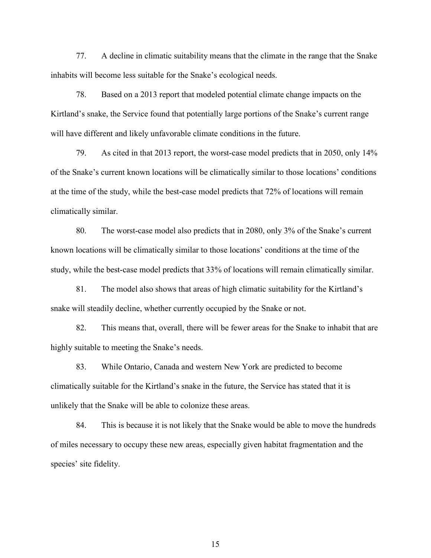77. A decline in climatic suitability means that the climate in the range that the Snake inhabits will become less suitable for the Snake's ecological needs.

78. Based on a 2013 report that modeled potential climate change impacts on the Kirtland's snake, the Service found that potentially large portions of the Snake's current range will have different and likely unfavorable climate conditions in the future.

79. As cited in that 2013 report, the worst-case model predicts that in 2050, only 14% of the Snake's current known locations will be climatically similar to those locations' conditions at the time of the study, while the best-case model predicts that 72% of locations will remain climatically similar.

80. The worst-case model also predicts that in 2080, only 3% of the Snake's current known locations will be climatically similar to those locations' conditions at the time of the study, while the best-case model predicts that 33% of locations will remain climatically similar.

81. The model also shows that areas of high climatic suitability for the Kirtland's snake will steadily decline, whether currently occupied by the Snake or not.

82. This means that, overall, there will be fewer areas for the Snake to inhabit that are highly suitable to meeting the Snake's needs.

83. While Ontario, Canada and western New York are predicted to become climatically suitable for the Kirtland's snake in the future, the Service has stated that it is unlikely that the Snake will be able to colonize these areas.

84. This is because it is not likely that the Snake would be able to move the hundreds of miles necessary to occupy these new areas, especially given habitat fragmentation and the species' site fidelity.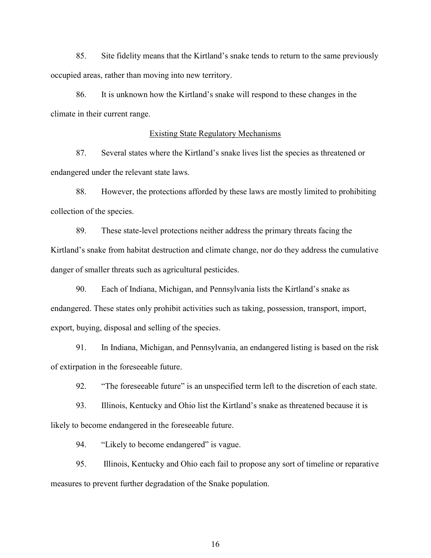85. Site fidelity means that the Kirtland's snake tends to return to the same previously occupied areas, rather than moving into new territory.

86. It is unknown how the Kirtland's snake will respond to these changes in the climate in their current range.

# Existing State Regulatory Mechanisms

87. Several states where the Kirtland's snake lives list the species as threatened or endangered under the relevant state laws.

88. However, the protections afforded by these laws are mostly limited to prohibiting collection of the species.

89. These state-level protections neither address the primary threats facing the Kirtland's snake from habitat destruction and climate change, nor do they address the cumulative danger of smaller threats such as agricultural pesticides.

90. Each of Indiana, Michigan, and Pennsylvania lists the Kirtland's snake as endangered. These states only prohibit activities such as taking, possession, transport, import, export, buying, disposal and selling of the species.

91. In Indiana, Michigan, and Pennsylvania, an endangered listing is based on the risk of extirpation in the foreseeable future.

92. "The foreseeable future" is an unspecified term left to the discretion of each state.

93. Illinois, Kentucky and Ohio list the Kirtland's snake as threatened because it is likely to become endangered in the foreseeable future.

94. "Likely to become endangered" is vague.

95. Illinois, Kentucky and Ohio each fail to propose any sort of timeline or reparative measures to prevent further degradation of the Snake population.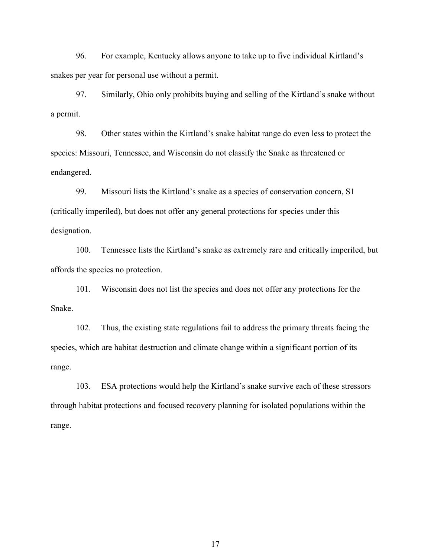96. For example, Kentucky allows anyone to take up to five individual Kirtland's snakes per year for personal use without a permit.

97. Similarly, Ohio only prohibits buying and selling of the Kirtland's snake without a permit.

98. Other states within the Kirtland's snake habitat range do even less to protect the species: Missouri, Tennessee, and Wisconsin do not classify the Snake as threatened or endangered.

99. Missouri lists the Kirtland's snake as a species of conservation concern, S1 (critically imperiled), but does not offer any general protections for species under this designation.

100. Tennessee lists the Kirtland's snake as extremely rare and critically imperiled, but affords the species no protection.

101. Wisconsin does not list the species and does not offer any protections for the Snake.

102. Thus, the existing state regulations fail to address the primary threats facing the species, which are habitat destruction and climate change within a significant portion of its range.

103. ESA protections would help the Kirtland's snake survive each of these stressors through habitat protections and focused recovery planning for isolated populations within the range.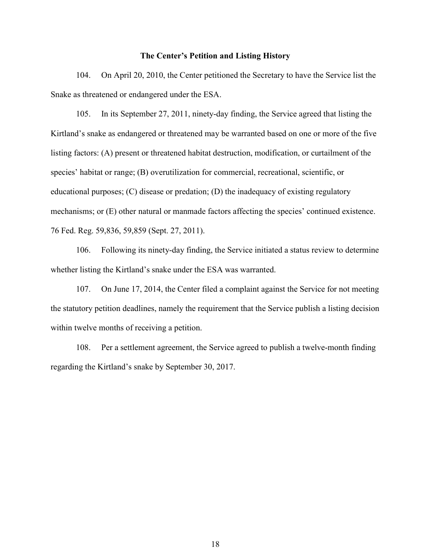## The Center's Petition and Listing History

104. On April 20, 2010, the Center petitioned the Secretary to have the Service list the Snake as threatened or endangered under the ESA.

105. In its September 27, 2011, ninety-day finding, the Service agreed that listing the Kirtland's snake as endangered or threatened may be warranted based on one or more of the five listing factors: (A) present or threatened habitat destruction, modification, or curtailment of the species' habitat or range; (B) overutilization for commercial, recreational, scientific, or educational purposes; (C) disease or predation; (D) the inadequacy of existing regulatory mechanisms; or (E) other natural or manmade factors affecting the species' continued existence. 76 Fed. Reg. 59,836, 59,859 (Sept. 27, 2011).

106. Following its ninety-day finding, the Service initiated a status review to determine whether listing the Kirtland's snake under the ESA was warranted.

107. On June 17, 2014, the Center filed a complaint against the Service for not meeting the statutory petition deadlines, namely the requirement that the Service publish a listing decision within twelve months of receiving a petition.

108. Per a settlement agreement, the Service agreed to publish a twelve-month finding regarding the Kirtland's snake by September 30, 2017.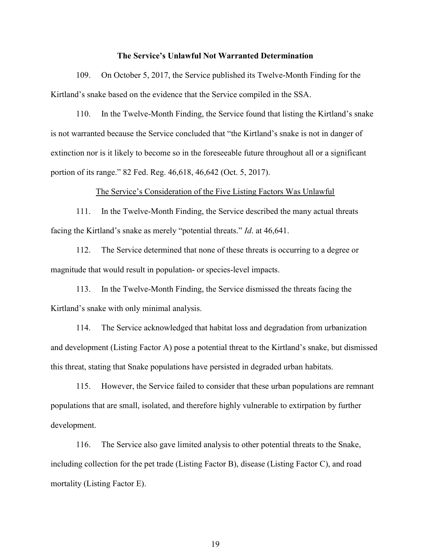#### The Service's Unlawful Not Warranted Determination

109. On October 5, 2017, the Service published its Twelve-Month Finding for the Kirtland's snake based on the evidence that the Service compiled in the SSA.

110. In the Twelve-Month Finding, the Service found that listing the Kirtland's snake is not warranted because the Service concluded that "the Kirtland's snake is not in danger of extinction nor is it likely to become so in the foreseeable future throughout all or a significant portion of its range." 82 Fed. Reg. 46,618, 46,642 (Oct. 5, 2017).

#### The Service's Consideration of the Five Listing Factors Was Unlawful

111. In the Twelve-Month Finding, the Service described the many actual threats facing the Kirtland's snake as merely "potential threats." Id. at 46,641.

112. The Service determined that none of these threats is occurring to a degree or magnitude that would result in population- or species-level impacts.

113. In the Twelve-Month Finding, the Service dismissed the threats facing the Kirtland's snake with only minimal analysis.

114. The Service acknowledged that habitat loss and degradation from urbanization and development (Listing Factor A) pose a potential threat to the Kirtland's snake, but dismissed this threat, stating that Snake populations have persisted in degraded urban habitats.

115. However, the Service failed to consider that these urban populations are remnant populations that are small, isolated, and therefore highly vulnerable to extirpation by further development.

116. The Service also gave limited analysis to other potential threats to the Snake, including collection for the pet trade (Listing Factor B), disease (Listing Factor C), and road mortality (Listing Factor E).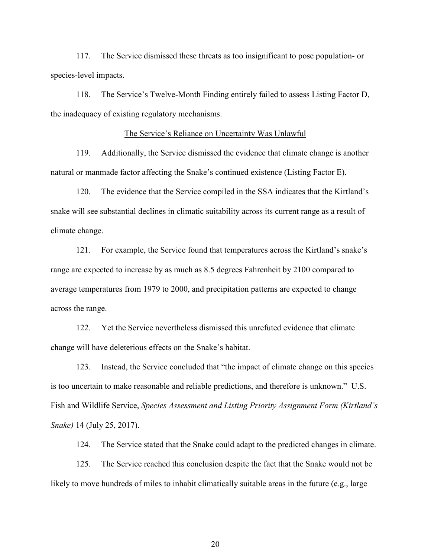117. The Service dismissed these threats as too insignificant to pose population- or species-level impacts.

118. The Service's Twelve-Month Finding entirely failed to assess Listing Factor D, the inadequacy of existing regulatory mechanisms.

# The Service's Reliance on Uncertainty Was Unlawful

119. Additionally, the Service dismissed the evidence that climate change is another natural or manmade factor affecting the Snake's continued existence (Listing Factor E).

120. The evidence that the Service compiled in the SSA indicates that the Kirtland's snake will see substantial declines in climatic suitability across its current range as a result of climate change.

121. For example, the Service found that temperatures across the Kirtland's snake's range are expected to increase by as much as 8.5 degrees Fahrenheit by 2100 compared to average temperatures from 1979 to 2000, and precipitation patterns are expected to change across the range.

122. Yet the Service nevertheless dismissed this unrefuted evidence that climate change will have deleterious effects on the Snake's habitat.

123. Instead, the Service concluded that "the impact of climate change on this species is too uncertain to make reasonable and reliable predictions, and therefore is unknown." U.S. Fish and Wildlife Service, Species Assessment and Listing Priority Assignment Form (Kirtland's Snake) 14 (July 25, 2017).

124. The Service stated that the Snake could adapt to the predicted changes in climate.

125. The Service reached this conclusion despite the fact that the Snake would not be likely to move hundreds of miles to inhabit climatically suitable areas in the future (e.g., large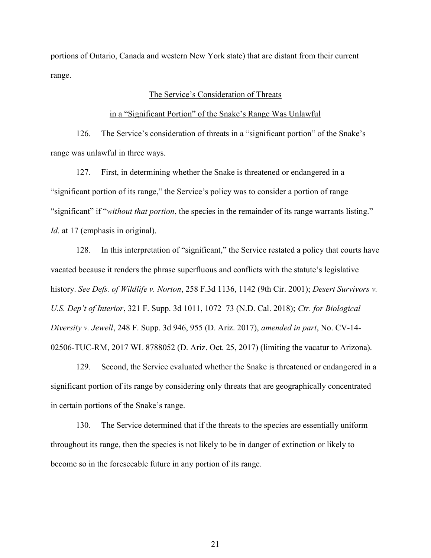portions of Ontario, Canada and western New York state) that are distant from their current range.

## The Service's Consideration of Threats

#### in a "Significant Portion" of the Snake's Range Was Unlawful

126. The Service's consideration of threats in a "significant portion" of the Snake's range was unlawful in three ways.

127. First, in determining whether the Snake is threatened or endangered in a "significant portion of its range," the Service's policy was to consider a portion of range "significant" if "without that portion, the species in the remainder of its range warrants listing." Id. at 17 (emphasis in original).

128. In this interpretation of "significant," the Service restated a policy that courts have vacated because it renders the phrase superfluous and conflicts with the statute's legislative history. See Defs. of Wildlife v. Norton, 258 F.3d 1136, 1142 (9th Cir. 2001); Desert Survivors v. U.S. Dep't of Interior, 321 F. Supp. 3d 1011, 1072–73 (N.D. Cal. 2018); Ctr. for Biological Diversity v. Jewell, 248 F. Supp. 3d 946, 955 (D. Ariz. 2017), amended in part, No. CV-14- 02506-TUC-RM, 2017 WL 8788052 (D. Ariz. Oct. 25, 2017) (limiting the vacatur to Arizona).

129. Second, the Service evaluated whether the Snake is threatened or endangered in a significant portion of its range by considering only threats that are geographically concentrated in certain portions of the Snake's range.

130. The Service determined that if the threats to the species are essentially uniform throughout its range, then the species is not likely to be in danger of extinction or likely to become so in the foreseeable future in any portion of its range.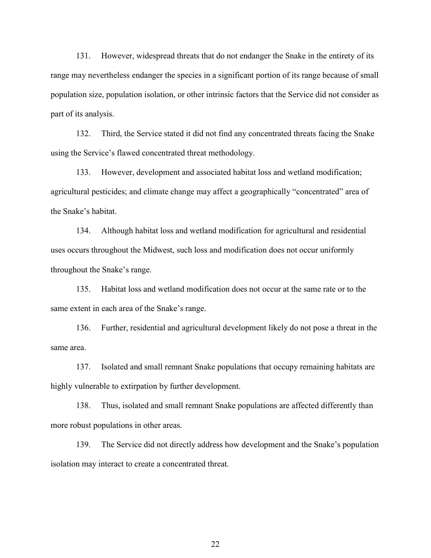131. However, widespread threats that do not endanger the Snake in the entirety of its range may nevertheless endanger the species in a significant portion of its range because of small population size, population isolation, or other intrinsic factors that the Service did not consider as part of its analysis.

132. Third, the Service stated it did not find any concentrated threats facing the Snake using the Service's flawed concentrated threat methodology.

133. However, development and associated habitat loss and wetland modification; agricultural pesticides; and climate change may affect a geographically "concentrated" area of the Snake's habitat.

134. Although habitat loss and wetland modification for agricultural and residential uses occurs throughout the Midwest, such loss and modification does not occur uniformly throughout the Snake's range.

135. Habitat loss and wetland modification does not occur at the same rate or to the same extent in each area of the Snake's range.

136. Further, residential and agricultural development likely do not pose a threat in the same area.

137. Isolated and small remnant Snake populations that occupy remaining habitats are highly vulnerable to extirpation by further development.

138. Thus, isolated and small remnant Snake populations are affected differently than more robust populations in other areas.

139. The Service did not directly address how development and the Snake's population isolation may interact to create a concentrated threat.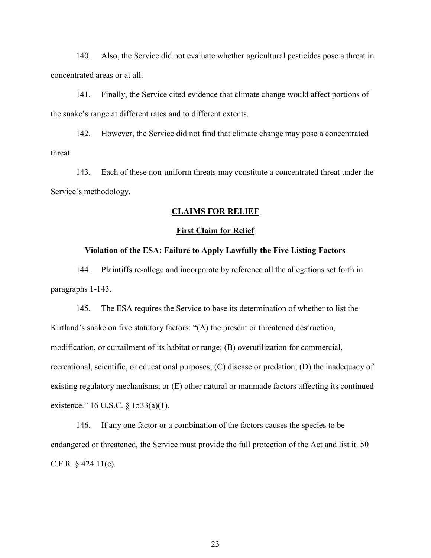140. Also, the Service did not evaluate whether agricultural pesticides pose a threat in concentrated areas or at all.

141. Finally, the Service cited evidence that climate change would affect portions of the snake's range at different rates and to different extents.

142. However, the Service did not find that climate change may pose a concentrated threat.

143. Each of these non-uniform threats may constitute a concentrated threat under the Service's methodology.

# CLAIMS FOR RELIEF

#### First Claim for Relief

# Violation of the ESA: Failure to Apply Lawfully the Five Listing Factors

144. Plaintiffs re-allege and incorporate by reference all the allegations set forth in paragraphs 1-143.

145. The ESA requires the Service to base its determination of whether to list the Kirtland's snake on five statutory factors: "(A) the present or threatened destruction, modification, or curtailment of its habitat or range; (B) overutilization for commercial, recreational, scientific, or educational purposes; (C) disease or predation; (D) the inadequacy of existing regulatory mechanisms; or (E) other natural or manmade factors affecting its continued existence." 16 U.S.C. § 1533(a)(1).

146. If any one factor or a combination of the factors causes the species to be endangered or threatened, the Service must provide the full protection of the Act and list it. 50 C.F.R.  $§$  424.11(c).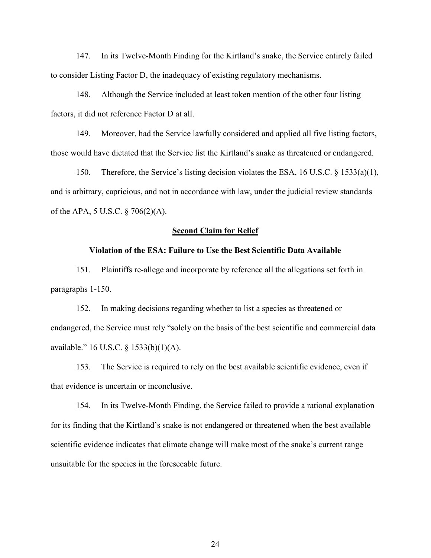147. In its Twelve-Month Finding for the Kirtland's snake, the Service entirely failed to consider Listing Factor D, the inadequacy of existing regulatory mechanisms.

148. Although the Service included at least token mention of the other four listing factors, it did not reference Factor D at all.

149. Moreover, had the Service lawfully considered and applied all five listing factors, those would have dictated that the Service list the Kirtland's snake as threatened or endangered.

150. Therefore, the Service's listing decision violates the ESA, 16 U.S.C. § 1533(a)(1), and is arbitrary, capricious, and not in accordance with law, under the judicial review standards of the APA, 5 U.S.C. § 706(2)(A).

#### Second Claim for Relief

### Violation of the ESA: Failure to Use the Best Scientific Data Available

151. Plaintiffs re-allege and incorporate by reference all the allegations set forth in paragraphs 1-150.

152. In making decisions regarding whether to list a species as threatened or endangered, the Service must rely "solely on the basis of the best scientific and commercial data available." 16 U.S.C. § 1533(b)(1)(A).

153. The Service is required to rely on the best available scientific evidence, even if that evidence is uncertain or inconclusive.

154. In its Twelve-Month Finding, the Service failed to provide a rational explanation for its finding that the Kirtland's snake is not endangered or threatened when the best available scientific evidence indicates that climate change will make most of the snake's current range unsuitable for the species in the foreseeable future.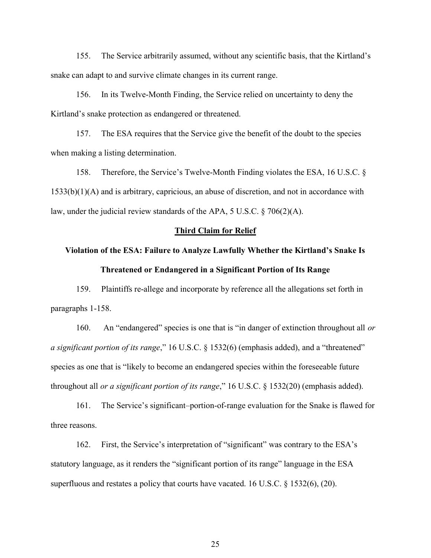155. The Service arbitrarily assumed, without any scientific basis, that the Kirtland's snake can adapt to and survive climate changes in its current range.

156. In its Twelve-Month Finding, the Service relied on uncertainty to deny the Kirtland's snake protection as endangered or threatened.

157. The ESA requires that the Service give the benefit of the doubt to the species when making a listing determination.

158. Therefore, the Service's Twelve-Month Finding violates the ESA, 16 U.S.C. § 1533(b)(1)(A) and is arbitrary, capricious, an abuse of discretion, and not in accordance with law, under the judicial review standards of the APA, 5 U.S.C. § 706(2)(A).

#### Third Claim for Relief

# Violation of the ESA: Failure to Analyze Lawfully Whether the Kirtland's Snake Is Threatened or Endangered in a Significant Portion of Its Range

159. Plaintiffs re-allege and incorporate by reference all the allegations set forth in paragraphs 1-158.

160. An "endangered" species is one that is "in danger of extinction throughout all or a significant portion of its range," 16 U.S.C. § 1532(6) (emphasis added), and a "threatened" species as one that is "likely to become an endangered species within the foreseeable future throughout all *or a significant portion of its range*," 16 U.S.C. § 1532(20) (emphasis added).

161. The Service's significant–portion-of-range evaluation for the Snake is flawed for three reasons.

162. First, the Service's interpretation of "significant" was contrary to the ESA's statutory language, as it renders the "significant portion of its range" language in the ESA superfluous and restates a policy that courts have vacated. 16 U.S.C. § 1532(6), (20).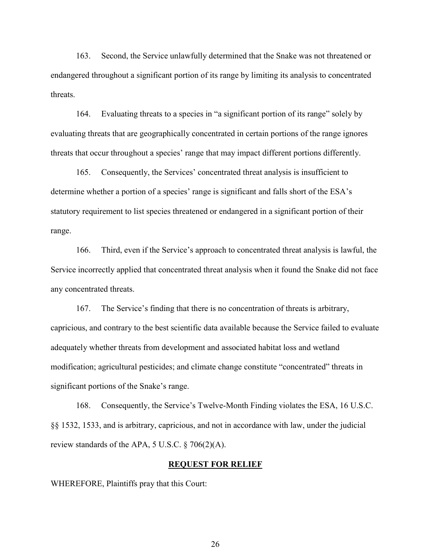163. Second, the Service unlawfully determined that the Snake was not threatened or endangered throughout a significant portion of its range by limiting its analysis to concentrated threats.

164. Evaluating threats to a species in "a significant portion of its range" solely by evaluating threats that are geographically concentrated in certain portions of the range ignores threats that occur throughout a species' range that may impact different portions differently.

165. Consequently, the Services' concentrated threat analysis is insufficient to determine whether a portion of a species' range is significant and falls short of the ESA's statutory requirement to list species threatened or endangered in a significant portion of their range.

166. Third, even if the Service's approach to concentrated threat analysis is lawful, the Service incorrectly applied that concentrated threat analysis when it found the Snake did not face any concentrated threats.

167. The Service's finding that there is no concentration of threats is arbitrary, capricious, and contrary to the best scientific data available because the Service failed to evaluate adequately whether threats from development and associated habitat loss and wetland modification; agricultural pesticides; and climate change constitute "concentrated" threats in significant portions of the Snake's range.

168. Consequently, the Service's Twelve-Month Finding violates the ESA, 16 U.S.C. §§ 1532, 1533, and is arbitrary, capricious, and not in accordance with law, under the judicial review standards of the APA, 5 U.S.C.  $\S$  706(2)(A).

#### REQUEST FOR RELIEF

WHEREFORE, Plaintiffs pray that this Court: